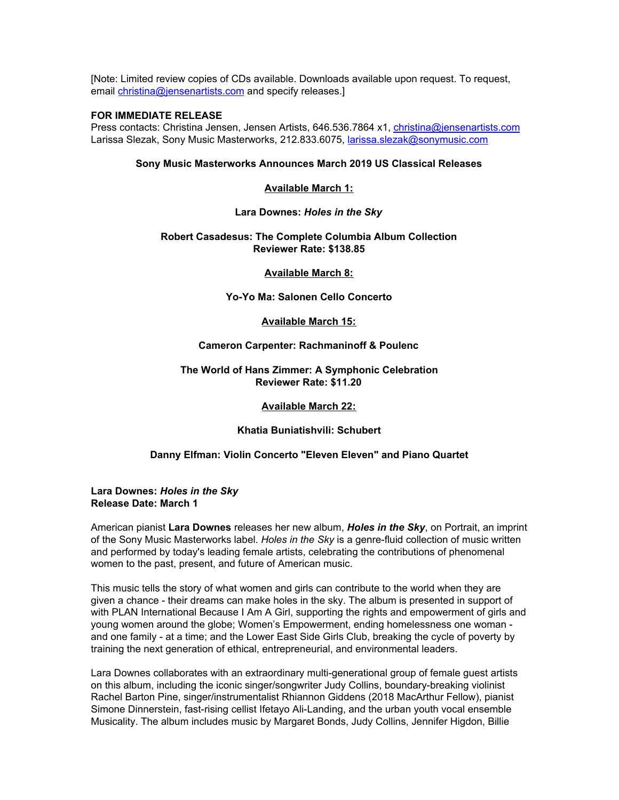[Note: Limited review copies of CDs available. Downloads available upon request. To request, email [christina@jensenartists.com](mailto:christina@jensenartists.com) and specify releases.]

### **FOR IMMEDIATE RELEASE**

Press contacts: Christina Jensen, Jensen Artists, 646.536.7864 x1, [christina@jensenartists.com](mailto:christina@jensenartists.com) Larissa Slezak, Sony Music Masterworks, 212.833.6075, [larissa.slezak@sonymusic.com](mailto:larissa.slezak@sonymusic.com)

## **Sony Music Masterworks Announces March 2019 US Classical Releases**

# **Available March 1:**

### **Lara Downes:** *Holes in the Sky*

## **Robert Casadesus: The Complete Columbia Album Collection Reviewer Rate: \$138.85**

# **Available March 8:**

**Yo-Yo Ma: Salonen Cello Concerto**

# **Available March 15:**

# **Cameron Carpenter: Rachmaninoff & Poulenc**

## **The World of Hans Zimmer: A Symphonic Celebration Reviewer Rate: \$11.20**

## **Available March 22:**

# **Khatia Buniatishvili: Schubert**

# **Danny Elfman: Violin Concerto "Eleven Eleven" and Piano Quartet**

#### **Lara Downes:** *Holes in the Sky* **Release Date: March 1**

American pianist **Lara Downes** releases her new album, *Holes in the Sky*, on Portrait, an imprint of the Sony Music Masterworks label. *Holes in the Sky* is a genre-fluid collection of music written and performed by today's leading female artists, celebrating the contributions of phenomenal women to the past, present, and future of American music.

This music tells the story of what women and girls can contribute to the world when they are given a chance - their dreams can make holes in the sky. The album is presented in support of with PLAN International Because I Am A Girl, supporting the rights and empowerment of girls and young women around the globe; Women's Empowerment, ending homelessness one woman and one family - at a time; and the Lower East Side Girls Club, breaking the cycle of poverty by training the next generation of ethical, entrepreneurial, and environmental leaders.

Lara Downes collaborates with an extraordinary multi-generational group of female guest artists on this album, including the iconic singer/songwriter Judy Collins, boundary-breaking violinist Rachel Barton Pine, singer/instrumentalist Rhiannon Giddens (2018 MacArthur Fellow), pianist Simone Dinnerstein, fast-rising cellist Ifetayo Ali-Landing, and the urban youth vocal ensemble Musicality. The album includes music by Margaret Bonds, Judy Collins, Jennifer Higdon, Billie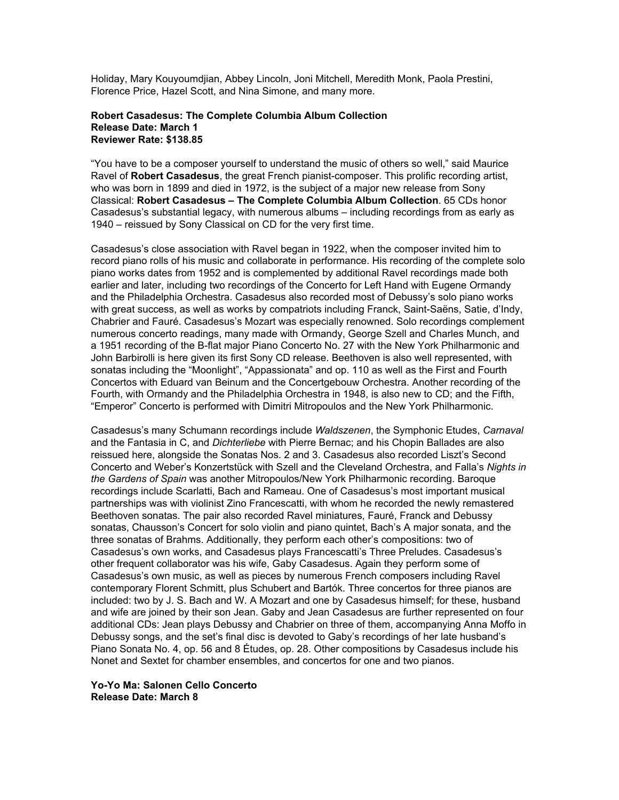Holiday, Mary Kouyoumdjian, Abbey Lincoln, Joni Mitchell, Meredith Monk, Paola Prestini, Florence Price, Hazel Scott, and Nina Simone, and many more.

### **Robert Casadesus: The Complete Columbia Album Collection Release Date: March 1 Reviewer Rate: \$138.85**

"You have to be a composer yourself to understand the music of others so well," said Maurice Ravel of **Robert Casadesus**, the great French pianist-composer. This prolific recording artist, who was born in 1899 and died in 1972, is the subject of a major new release from Sony Classical: **Robert Casadesus – The Complete Columbia Album Collection**. 65 CDs honor Casadesus's substantial legacy, with numerous albums – including recordings from as early as 1940 – reissued by Sony Classical on CD for the very first time.

Casadesus's close association with Ravel began in 1922, when the composer invited him to record piano rolls of his music and collaborate in performance. His recording of the complete solo piano works dates from 1952 and is complemented by additional Ravel recordings made both earlier and later, including two recordings of the Concerto for Left Hand with Eugene Ormandy and the Philadelphia Orchestra. Casadesus also recorded most of Debussy's solo piano works with great success, as well as works by compatriots including Franck, Saint-Saëns, Satie, d'Indy, Chabrier and Fauré. Casadesus's Mozart was especially renowned. Solo recordings complement numerous concerto readings, many made with Ormandy, George Szell and Charles Munch, and a 1951 recording of the B-flat major Piano Concerto No. 27 with the New York Philharmonic and John Barbirolli is here given its first Sony CD release. Beethoven is also well represented, with sonatas including the "Moonlight", "Appassionata" and op. 110 as well as the First and Fourth Concertos with Eduard van Beinum and the Concertgebouw Orchestra. Another recording of the Fourth, with Ormandy and the Philadelphia Orchestra in 1948, is also new to CD; and the Fifth, "Emperor" Concerto is performed with Dimitri Mitropoulos and the New York Philharmonic.

Casadesus's many Schumann recordings include *Waldszenen*, the Symphonic Etudes, *Carnaval* and the Fantasia in C, and *Dichterliebe* with Pierre Bernac; and his Chopin Ballades are also reissued here, alongside the Sonatas Nos. 2 and 3. Casadesus also recorded Liszt's Second Concerto and Weber's Konzertstück with Szell and the Cleveland Orchestra, and Falla's *Nights in the Gardens of Spain* was another Mitropoulos/New York Philharmonic recording. Baroque recordings include Scarlatti, Bach and Rameau. One of Casadesus's most important musical partnerships was with violinist Zino Francescatti, with whom he recorded the newly remastered Beethoven sonatas. The pair also recorded Ravel miniatures, Fauré, Franck and Debussy sonatas, Chausson's Concert for solo violin and piano quintet, Bach's A major sonata, and the three sonatas of Brahms. Additionally, they perform each other's compositions: two of Casadesus's own works, and Casadesus plays Francescatti's Three Preludes. Casadesus's other frequent collaborator was his wife, Gaby Casadesus. Again they perform some of Casadesus's own music, as well as pieces by numerous French composers including Ravel contemporary Florent Schmitt, plus Schubert and Bartók. Three concertos for three pianos are included: two by J. S. Bach and W. A Mozart and one by Casadesus himself; for these, husband and wife are joined by their son Jean. Gaby and Jean Casadesus are further represented on four additional CDs: Jean plays Debussy and Chabrier on three of them, accompanying Anna Moffo in Debussy songs, and the set's final disc is devoted to Gaby's recordings of her late husband's Piano Sonata No. 4, op. 56 and 8 Études, op. 28. Other compositions by Casadesus include his Nonet and Sextet for chamber ensembles, and concertos for one and two pianos.

#### **Yo-Yo Ma: Salonen Cello Concerto Release Date: March 8**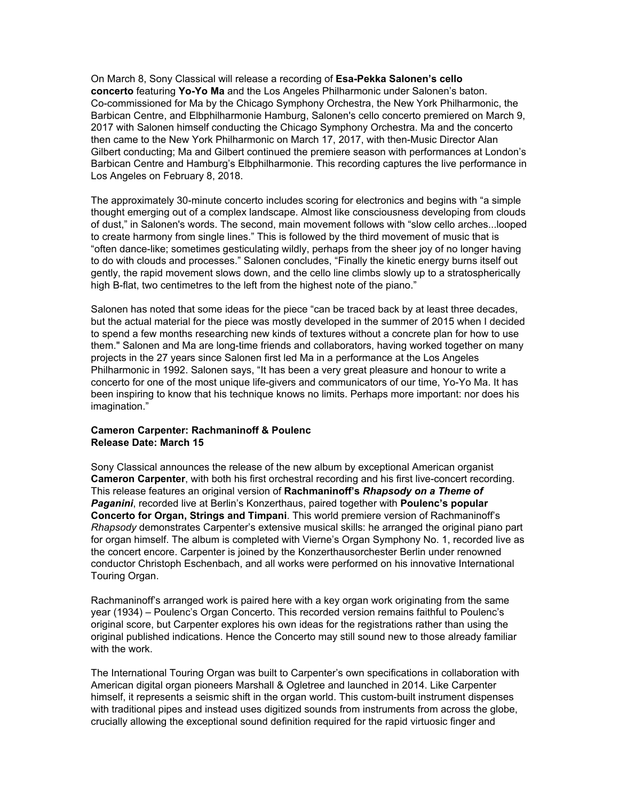On March 8, Sony Classical will release a recording of **Esa-Pekka Salonen's cello concerto** featuring **Yo-Yo Ma** and the Los Angeles Philharmonic under Salonen's baton. Co-commissioned for Ma by the Chicago Symphony Orchestra, the New York Philharmonic, the Barbican Centre, and Elbphilharmonie Hamburg, Salonen's cello concerto premiered on March 9, 2017 with Salonen himself conducting the Chicago Symphony Orchestra. Ma and the concerto then came to the New York Philharmonic on March 17, 2017, with then-Music Director Alan Gilbert conducting; Ma and Gilbert continued the premiere season with performances at London's Barbican Centre and Hamburg's Elbphilharmonie. This recording captures the live performance in Los Angeles on February 8, 2018.

The approximately 30-minute concerto includes scoring for electronics and begins with "a simple thought emerging out of a complex landscape. Almost like consciousness developing from clouds of dust," in Salonen's words. The second, main movement follows with "slow cello arches...looped to create harmony from single lines." This is followed by the third movement of music that is "often dance-like; sometimes gesticulating wildly, perhaps from the sheer joy of no longer having to do with clouds and processes." Salonen concludes, "Finally the kinetic energy burns itself out gently, the rapid movement slows down, and the cello line climbs slowly up to a stratospherically high B-flat, two centimetres to the left from the highest note of the piano."

Salonen has noted that some ideas for the piece "can be traced back by at least three decades, but the actual material for the piece was mostly developed in the summer of 2015 when I decided to spend a few months researching new kinds of textures without a concrete plan for how to use them." Salonen and Ma are long-time friends and collaborators, having worked together on many projects in the 27 years since Salonen first led Ma in a performance at the Los Angeles Philharmonic in 1992. Salonen says, "It has been a very great pleasure and honour to write a concerto for one of the most unique life-givers and communicators of our time, Yo-Yo Ma. It has been inspiring to know that his technique knows no limits. Perhaps more important: nor does his imagination."

## **Cameron Carpenter: Rachmaninoff & Poulenc Release Date: March 15**

Sony Classical announces the release of the new album by exceptional American organist **Cameron Carpenter**, with both his first orchestral recording and his first live-concert recording. This release features an original version of **Rachmaninoff's** *Rhapsody on a Theme of Paganini*, recorded live at Berlin's Konzerthaus, paired together with **Poulenc's popular Concerto for Organ, Strings and Timpani**. This world premiere version of Rachmaninoff's *Rhapsody* demonstrates Carpenter's extensive musical skills: he arranged the original piano part for organ himself. The album is completed with Vierne's Organ Symphony No. 1, recorded live as the concert encore. Carpenter is joined by the Konzerthausorchester Berlin under renowned conductor Christoph Eschenbach, and all works were performed on his innovative International Touring Organ.

Rachmaninoff's arranged work is paired here with a key organ work originating from the same year (1934) – Poulenc's Organ Concerto. This recorded version remains faithful to Poulenc's original score, but Carpenter explores his own ideas for the registrations rather than using the original published indications. Hence the Concerto may still sound new to those already familiar with the work.

The International Touring Organ was built to Carpenter's own specifications in collaboration with American digital organ pioneers Marshall & Ogletree and launched in 2014. Like Carpenter himself, it represents a seismic shift in the organ world. This custom-built instrument dispenses with traditional pipes and instead uses digitized sounds from instruments from across the globe, crucially allowing the exceptional sound definition required for the rapid virtuosic finger and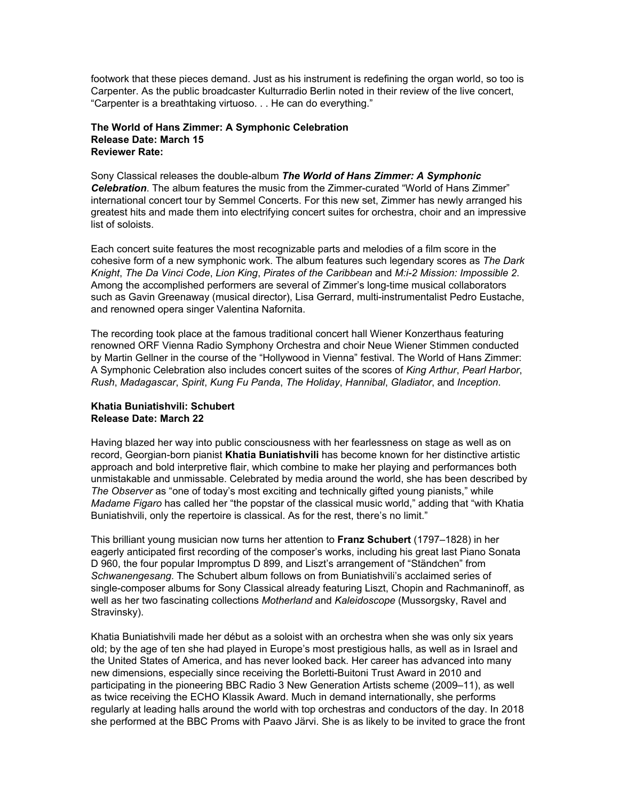footwork that these pieces demand. Just as his instrument is redefining the organ world, so too is Carpenter. As the public broadcaster Kulturradio Berlin noted in their review of the live concert, "Carpenter is a breathtaking virtuoso. . . He can do everything."

## **The World of Hans Zimmer: A Symphonic Celebration Release Date: March 15 Reviewer Rate:**

Sony Classical releases the double-album *The World of Hans Zimmer: A Symphonic Celebration*. The album features the music from the Zimmer-curated "World of Hans Zimmer" international concert tour by Semmel Concerts. For this new set, Zimmer has newly arranged his greatest hits and made them into electrifying concert suites for orchestra, choir and an impressive list of soloists.

Each concert suite features the most recognizable parts and melodies of a film score in the cohesive form of a new symphonic work. The album features such legendary scores as *The Dark Knight*, *The Da Vinci Code*, *Lion King*, *Pirates of the Caribbean* and *M:i-2 Mission: Impossible 2*. Among the accomplished performers are several of Zimmer's long-time musical collaborators such as Gavin Greenaway (musical director), Lisa Gerrard, multi-instrumentalist Pedro Eustache, and renowned opera singer Valentina Nafornita.

The recording took place at the famous traditional concert hall Wiener Konzerthaus featuring renowned ORF Vienna Radio Symphony Orchestra and choir Neue Wiener Stimmen conducted by Martin Gellner in the course of the "Hollywood in Vienna" festival. The World of Hans Zimmer: A Symphonic Celebration also includes concert suites of the scores of *King Arthur*, *Pearl Harbor*, *Rush*, *Madagascar*, *Spirit*, *Kung Fu Panda*, *The Holiday*, *Hannibal*, *Gladiator*, and *Inception*.

### **Khatia Buniatishvili: Schubert Release Date: March 22**

Having blazed her way into public consciousness with her fearlessness on stage as well as on record, Georgian-born pianist **Khatia Buniatishvili** has become known for her distinctive artistic approach and bold interpretive flair, which combine to make her playing and performances both unmistakable and unmissable. Celebrated by media around the world, she has been described by *The Observer* as "one of today's most exciting and technically gifted young pianists," while *Madame Figaro* has called her "the popstar of the classical music world," adding that "with Khatia Buniatishvili, only the repertoire is classical. As for the rest, there's no limit."

This brilliant young musician now turns her attention to **Franz Schubert** (1797–1828) in her eagerly anticipated first recording of the composer's works, including his great last Piano Sonata D 960, the four popular Impromptus D 899, and Liszt's arrangement of "Ständchen" from *Schwanengesang*. The Schubert album follows on from Buniatishvili's acclaimed series of single-composer albums for Sony Classical already featuring Liszt, Chopin and Rachmaninoff, as well as her two fascinating collections *Motherland* and *Kaleidoscope* (Mussorgsky, Ravel and Stravinsky).

Khatia Buniatishvili made her début as a soloist with an orchestra when she was only six years old; by the age of ten she had played in Europe's most prestigious halls, as well as in Israel and the United States of America, and has never looked back. Her career has advanced into many new dimensions, especially since receiving the Borletti-Buitoni Trust Award in 2010 and participating in the pioneering BBC Radio 3 New Generation Artists scheme (2009–11), as well as twice receiving the ECHO Klassik Award. Much in demand internationally, she performs regularly at leading halls around the world with top orchestras and conductors of the day. In 2018 she performed at the BBC Proms with Paavo Järvi. She is as likely to be invited to grace the front